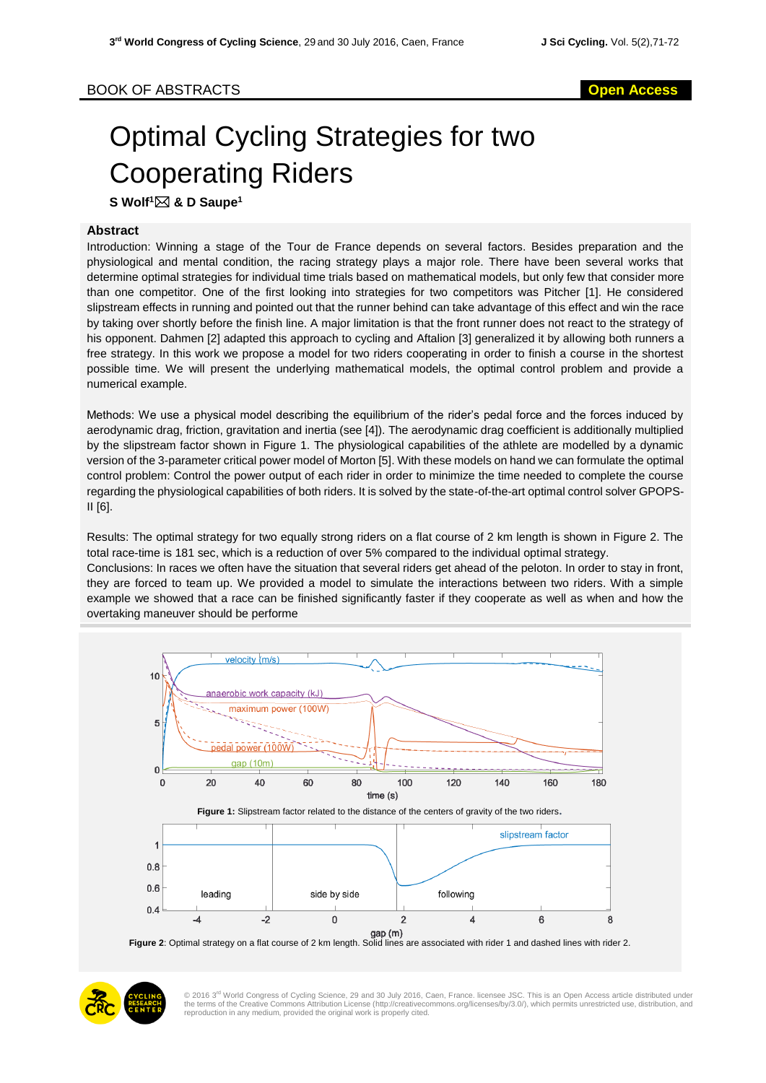## Optimal Cycling Strategies for two Cooperating Riders

**S Wolf<sup>1</sup> & D Saupe<sup>1</sup>**

## **Abstract**

Introduction: Winning a stage of the Tour de France depends on several factors. Besides preparation and the physiological and mental condition, the racing strategy plays a major role. There have been several works that determine optimal strategies for individual time trials based on mathematical models, but only few that consider more than one competitor. One of the first looking into strategies for two competitors was Pitcher [1]. He considered slipstream effects in running and pointed out that the runner behind can take advantage of this effect and win the race by taking over shortly before the finish line. A major limitation is that the front runner does not react to the strategy of his opponent. Dahmen [2] adapted this approach to cycling and Aftalion [3] generalized it by allowing both runners a free strategy. In this work we propose a model for two riders cooperating in order to finish a course in the shortest possible time. We will present the underlying mathematical models, the optimal control problem and provide a numerical example.

Methods: We use a physical model describing the equilibrium of the rider's pedal force and the forces induced by aerodynamic drag, friction, gravitation and inertia (see [4]). The aerodynamic drag coefficient is additionally multiplied by the slipstream factor shown in Figure 1. The physiological capabilities of the athlete are modelled by a dynamic version of the 3-parameter critical power model of Morton [5]. With these models on hand we can formulate the optimal control problem: Control the power output of each rider in order to minimize the time needed to complete the course regarding the physiological capabilities of both riders. It is solved by the state-of-the-art optimal control solver GPOPS-II [6].

Results: The optimal strategy for two equally strong riders on a flat course of 2 km length is shown in Figure 2. The total race-time is 181 sec, which is a reduction of over 5% compared to the individual optimal strategy. Conclusions: In races we often have the situation that several riders get ahead of the peloton. In order to stay in front, they are forced to team up. We provided a model to simulate the interactions between two riders. With a simple example we showed that a race can be finished significantly faster if they cooperate as well as when and how the overtaking maneuver should be performe





© 2016 3<sup>rd</sup> World Congress of Cycling Science, 29 and 30 July 2016, Caen, France. licensee JSC. This is an Open Access article distributed under<br>the terms of the Creative Commons Attribution License (http://creativecommon reproduction in any medium, provided the original work is properly cited.